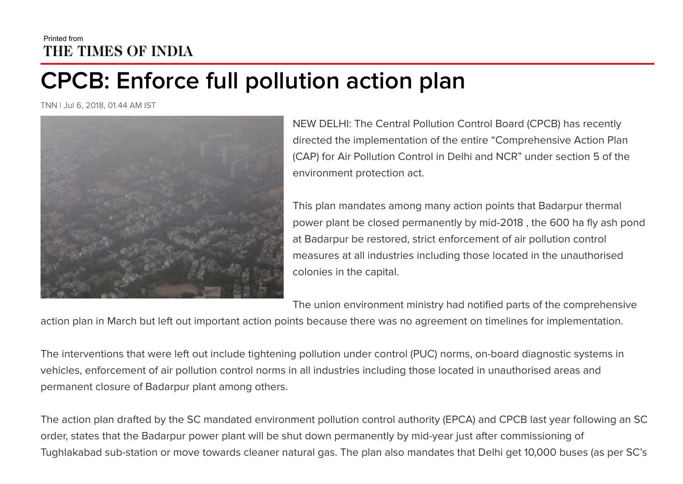## Printed from THE TIMES OF INDIA

## **CPCB: Enforce full pollution action plan**

TNN | Jul 6, 2018, 01.44 AM IST



NEW DELHI: The Central Pollution Control Board (CPCB) has recently directed the implementation of the entire "Comprehensive Action Plan (CAP) for Air Pollution Control in Delhi and NCR" under section 5 of the environment protection act.

This plan mandates among many action points that Badarpur thermal power plant be closed permanently by mid-2018 , the 600 ha fly ash pond at Badarpur be restored, strict enforcement of air pollution control measures at all industries including those located in the unauthorised colonies in the capital.

The union environment ministry had notified parts of the comprehensive

action plan in March but left out important action points because there was no agreement on timelines for implementation.

The interventions that were left out include tightening pollution under control (PUC) norms, on-board diagnostic systems in vehicles, enforcement of air pollution control norms in all industries including those located in unauthorised areas and permanent closure of Badarpur plant among others.

The action plan drafted by the SC mandated environment pollution control authority (EPCA) and CPCB last year following an SC order, states that the Badarpur power plant will be shut down permanently by mid-year just after commissioning of Tughlakabad sub-station or move towards cleaner natural gas. The plan also mandates that Delhi get 10,000 buses (as per SC's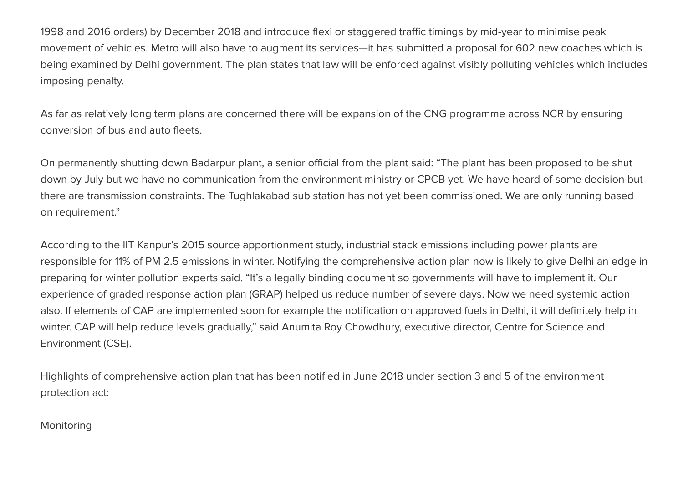1998 and 2016 orders) by December 2018 and introduce flexi or staggered traffic timings by mid-year to minimise peak movement of vehicles. Metro will also have to augment its services—it has submitted a proposal for 602 new coaches which is being examined by Delhi government. The plan states that law will be enforced against visibly polluting vehicles which includes imposing penalty.

As far as relatively long term plans are concerned there will be expansion of the CNG programme across NCR by ensuring conversion of bus and auto fleets.

On permanently shutting down Badarpur plant, a senior official from the plant said: "The plant has been proposed to be shut down by July but we have no communication from the environment ministry or CPCB yet. We have heard of some decision but there are transmission constraints. The Tughlakabad sub station has not yet been commissioned. We are only running based on requirement."

According to the IIT Kanpur's 2015 source apportionment study, industrial stack emissions including power plants are responsible for 11% of PM 2.5 emissions in winter. Notifying the comprehensive action plan now is likely to give Delhi an edge in preparing for winter pollution experts said. "It's a legally binding document so governments will have to implement it. Our experience of graded response action plan (GRAP) helped us reduce number of severe days. Now we need systemic action also. If elements of CAP are implemented soon for example the notification on approved fuels in Delhi, it will definitely help in winter. CAP will help reduce levels gradually," said Anumita Roy Chowdhury, executive director, Centre for Science and Environment (CSE).

Highlights of comprehensive action plan that has been notified in June 2018 under section 3 and 5 of the environment protection act:

## **Monitoring**